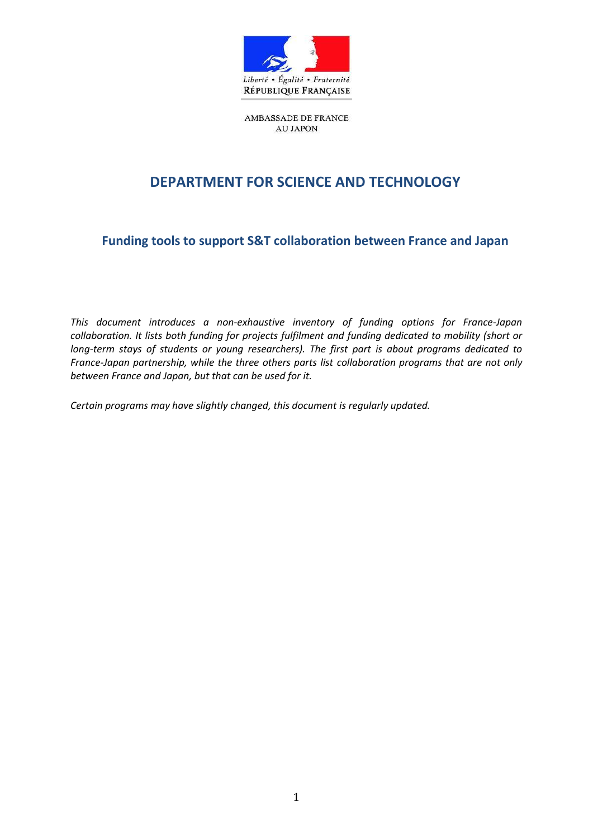

AMBASSADE DE FRANCE **AU JAPON** 

# **DEPARTMENT FOR SCIENCE AND TECHNOLOGY**

**Funding tools to support S&T collaboration between France and Japan**

*This document introduces a non-exhaustive inventory of funding options for France-Japan collaboration. It lists both funding for projects fulfilment and funding dedicated to mobility (short or long-term stays of students or young researchers). The first part is about programs dedicated to France-Japan partnership, while the three others parts list collaboration programs that are not only between France and Japan, but that can be used for it.*

*Certain programs may have slightly changed, this document is regularly updated.*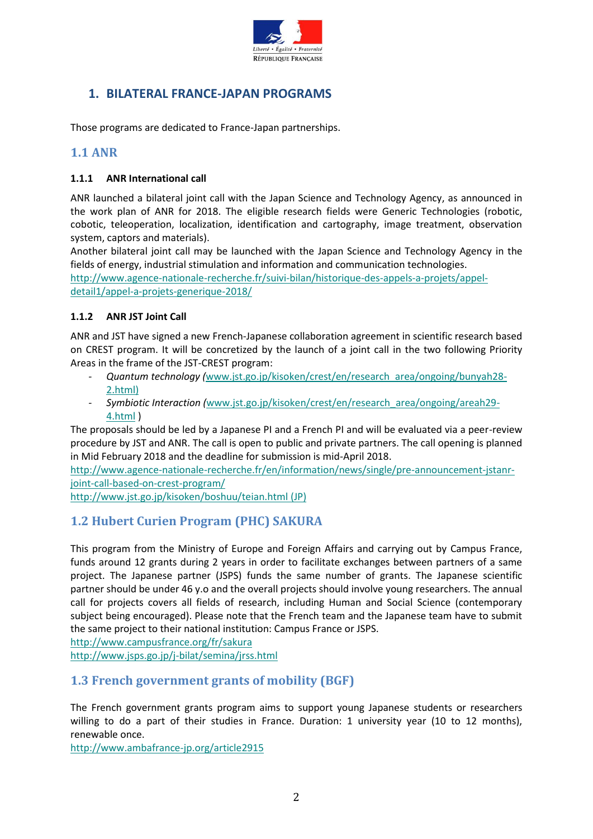

# **1. BILATERAL FRANCE-JAPAN PROGRAMS**

Those programs are dedicated to France-Japan partnerships.

### **1.1 ANR**

#### **1.1.1 ANR International call**

ANR launched a bilateral joint call with the Japan Science and Technology Agency, as announced in the work plan of ANR for 2018. The eligible research fields were Generic Technologies (robotic, cobotic, teleoperation, localization, identification and cartography, image treatment, observation system, captors and materials).

Another bilateral joint call may be launched with the Japan Science and Technology Agency in the fields of energy, industrial stimulation and information and communication technologies.

[http://www.agence-nationale-recherche.fr/suivi-bilan/historique-des-appels-a-projets/appel](http://www.agence-nationale-recherche.fr/suivi-bilan/historique-des-appels-a-projets/appel-detail1/appel-a-projets-generique-2018/)[detail1/appel-a-projets-generique-2018/](http://www.agence-nationale-recherche.fr/suivi-bilan/historique-des-appels-a-projets/appel-detail1/appel-a-projets-generique-2018/) 

#### **1.1.2 ANR JST Joint Call**

ANR and JST have signed a new French-Japanese collaboration agreement in scientific research based on CREST program. It will be concretized by the launch of a joint call in the two following Priority Areas in the frame of the JST-CREST program:

- *- Quantum technology (*[www.jst.go.jp/kisoken/crest/en/research\\_area/ongoing/bunyah28-](http://www.jst.go.jp/kisoken/crest/en/research_area/ongoing/bunyah28-2.html) [2.html\)](http://www.jst.go.jp/kisoken/crest/en/research_area/ongoing/bunyah28-2.html)
- *- Symbiotic Interaction (*www.jst.go.jp/kisoken/crest/en/research\_area/ongoing/areah29- 4.html )

The proposals should be led by a Japanese PI and a French PI and will be evaluated via a peer-review procedure by JST and ANR. The call is open to public and private partners. The call opening is planned in Mid February 2018 and the deadline for submission is mid-April 2018.

[http://www.agence-nationale-recherche.fr/en/information/news/single/pre-announcement-jstanr](http://www.agence-nationale-recherche.fr/en/information/news/single/pre-announcement-jstanr-joint-call-based-on-crest-program/)[joint-call-based-on-crest-program/](http://www.agence-nationale-recherche.fr/en/information/news/single/pre-announcement-jstanr-joint-call-based-on-crest-program/)

<http://www.jst.go.jp/kisoken/boshuu/teian.html> (JP)

## **1.2 Hubert Curien Program (PHC) SAKURA**

This program from the Ministry of Europe and Foreign Affairs and carrying out by Campus France, funds around 12 grants during 2 years in order to facilitate exchanges between partners of a same project. The Japanese partner (JSPS) funds the same number of grants. The Japanese scientific partner should be under 46 y.o and the overall projects should involve young researchers. The annual call for projects covers all fields of research, including Human and Social Science (contemporary subject being encouraged). Please note that the French team and the Japanese team have to submit the same project to their national institution: Campus France or JSPS.

<http://www.campusfrance.org/fr/sakura>

<http://www.jsps.go.jp/j-bilat/semina/jrss.html>

### **1.3 French government grants of mobility (BGF)**

The French government grants program aims to support young Japanese students or researchers willing to do a part of their studies in France. Duration: 1 university year (10 to 12 months), renewable once.

<http://www.ambafrance-jp.org/article2915>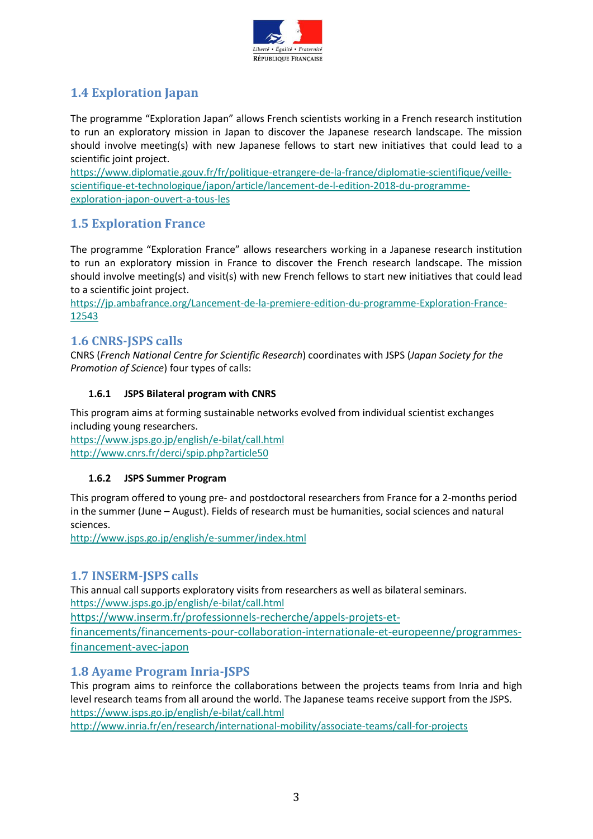

# **1.4 Exploration Japan**

The programme "Exploration Japan" allows French scientists working in a French research institution to run an exploratory mission in Japan to discover the Japanese research landscape. The mission should involve meeting(s) with new Japanese fellows to start new initiatives that could lead to a scientific joint project.

[https://www.diplomatie.gouv.fr/fr/politique-etrangere-de-la-france/diplomatie-scientifique/veille](https://www.diplomatie.gouv.fr/fr/politique-etrangere-de-la-france/diplomatie-scientifique/veille-scientifique-et-technologique/japon/article/lancement-de-l-edition-2018-du-programme-exploration-japon-ouvert-a-tous-les)[scientifique-et-technologique/japon/article/lancement-de-l-edition-2018-du-programme](https://www.diplomatie.gouv.fr/fr/politique-etrangere-de-la-france/diplomatie-scientifique/veille-scientifique-et-technologique/japon/article/lancement-de-l-edition-2018-du-programme-exploration-japon-ouvert-a-tous-les)[exploration-japon-ouvert-a-tous-les](https://www.diplomatie.gouv.fr/fr/politique-etrangere-de-la-france/diplomatie-scientifique/veille-scientifique-et-technologique/japon/article/lancement-de-l-edition-2018-du-programme-exploration-japon-ouvert-a-tous-les)

## **1.5 Exploration France**

The programme "Exploration France" allows researchers working in a Japanese research institution to run an exploratory mission in France to discover the French research landscape. The mission should involve meeting(s) and visit(s) with new French fellows to start new initiatives that could lead to a scientific joint project.

[https://jp.ambafrance.org/Lancement-de-la-premiere-edition-du-programme-Exploration-France-](https://jp.ambafrance.org/Lancement-de-la-premiere-edition-du-programme-Exploration-France-12543)[12543](https://jp.ambafrance.org/Lancement-de-la-premiere-edition-du-programme-Exploration-France-12543)

## **1.6 CNRS-JSPS calls**

CNRS (*French National Centre for Scientific Research*) coordinates with JSPS (*Japan Society for the Promotion of Science*) four types of calls:

#### **1.6.1 JSPS Bilateral program with CNRS**

This program aims at forming sustainable networks evolved from individual scientist exchanges including young researchers.

<https://www.jsps.go.jp/english/e-bilat/call.html> <http://www.cnrs.fr/derci/spip.php?article50>

#### **1.6.2 JSPS Summer Program**

This program offered to young pre- and postdoctoral researchers from France for a 2-months period in the summer (June – August). Fields of research must be humanities, social sciences and natural sciences.

<http://www.jsps.go.jp/english/e-summer/index.html>

### **1.7 INSERM-JSPS calls**

This annual call supports exploratory visits from researchers as well as bilateral seminars. <https://www.jsps.go.jp/english/e-bilat/call.html>

[https://www.inserm.fr/professionnels-recherche/appels-projets-et](https://www.inserm.fr/professionnels-recherche/appels-projets-et-financements/financements-pour-collaboration-internationale-et-europeenne/programmes-financement-avec-japon)[financements/financements-pour-collaboration-internationale-et-europeenne/programmes-](https://www.inserm.fr/professionnels-recherche/appels-projets-et-financements/financements-pour-collaboration-internationale-et-europeenne/programmes-financement-avec-japon)

[financement-avec-japon](https://www.inserm.fr/professionnels-recherche/appels-projets-et-financements/financements-pour-collaboration-internationale-et-europeenne/programmes-financement-avec-japon)

## **1.8 Ayame Program Inria-JSPS**

This program aims to reinforce the collaborations between the projects teams from Inria and high level research teams from all around the world. The Japanese teams receive support from the JSPS. <https://www.jsps.go.jp/english/e-bilat/call.html>

<http://www.inria.fr/en/research/international-mobility/associate-teams/call-for-projects>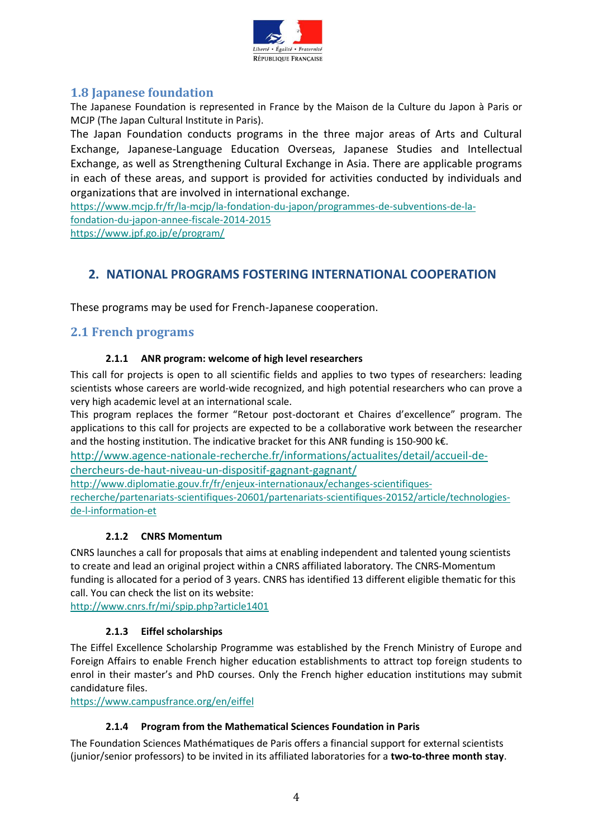

## **1.8 Japanese foundation**

The Japanese Foundation is represented in France by the Maison de la Culture du Japon à Paris or MCJP (The Japan Cultural Institute in Paris).

The Japan Foundation conducts programs in the three major areas of Arts and Cultural Exchange, Japanese-Language Education Overseas, Japanese Studies and Intellectual Exchange, as well as Strengthening Cultural Exchange in Asia. There are applicable programs in each of these areas, and support is provided for activities conducted by individuals and organizations that are involved in international exchange.

[https://www.mcjp.fr/fr/la-mcjp/la-fondation-du-japon/programmes-de-subventions-de-la](https://www.mcjp.fr/fr/la-mcjp/la-fondation-du-japon/programmes-de-subventions-de-la-fondation-du-japon-annee-fiscale-2014-2015)[fondation-du-japon-annee-fiscale-2014-2015](https://www.mcjp.fr/fr/la-mcjp/la-fondation-du-japon/programmes-de-subventions-de-la-fondation-du-japon-annee-fiscale-2014-2015) <https://www.jpf.go.jp/e/program/>

## **2. NATIONAL PROGRAMS FOSTERING INTERNATIONAL COOPERATION**

These programs may be used for French-Japanese cooperation.

## **2.1 French programs**

#### **2.1.1 ANR program: welcome of high level researchers**

This call for projects is open to all scientific fields and applies to two types of researchers: leading scientists whose careers are world-wide recognized, and high potential researchers who can prove a very high academic level at an international scale.

This program replaces the former "Retour post-doctorant et Chaires d'excellence" program. The applications to this call for projects are expected to be a collaborative work between the researcher and the hosting institution. The indicative bracket for this ANR funding is 150-900 k€.

[http://www.agence-nationale-recherche.fr/informations/actualites/detail/accueil-de-](http://www.agence-nationale-recherche.fr/informations/actualites/detail/accueil-de-chercheurs-de-haut-niveau-un-dispositif-gagnant-gagnant/)

[chercheurs-de-haut-niveau-un-dispositif-gagnant-gagnant/](http://www.agence-nationale-recherche.fr/informations/actualites/detail/accueil-de-chercheurs-de-haut-niveau-un-dispositif-gagnant-gagnant/)

[http://www.diplomatie.gouv.fr/fr/enjeux-internationaux/echanges-scientifiques-](http://www.diplomatie.gouv.fr/fr/enjeux-internationaux/echanges-scientifiques-recherche/partenariats-scientifiques-20601/partenariats-scientifiques-20152/article/technologies-de-l-information-et)

[recherche/partenariats-scientifiques-20601/partenariats-scientifiques-20152/article/technologies](http://www.diplomatie.gouv.fr/fr/enjeux-internationaux/echanges-scientifiques-recherche/partenariats-scientifiques-20601/partenariats-scientifiques-20152/article/technologies-de-l-information-et)[de-l-information-et](http://www.diplomatie.gouv.fr/fr/enjeux-internationaux/echanges-scientifiques-recherche/partenariats-scientifiques-20601/partenariats-scientifiques-20152/article/technologies-de-l-information-et)

### **2.1.2 CNRS Momentum**

CNRS launches a call for proposals that aims at enabling independent and talented young scientists to create and lead an original project within a CNRS affiliated laboratory. The CNRS-Momentum funding is allocated for a period of 3 years. CNRS has identified 13 different eligible thematic for this call. You can check the list on its website:

<http://www.cnrs.fr/mi/spip.php?article1401>

### **2.1.3 Eiffel scholarships**

The Eiffel Excellence Scholarship Programme was established by the French Ministry of Europe and Foreign Affairs to enable French higher education establishments to attract top foreign students to enrol in their master's and PhD courses. Only the French higher education institutions may submit candidature files.

<https://www.campusfrance.org/en/eiffel>

#### **2.1.4 Program from the Mathematical Sciences Foundation in Paris**

The Foundation Sciences Mathématiques de Paris offers a financial support for external scientists (junior/senior professors) to be invited in its affiliated laboratories for a **two-to-three month stay**.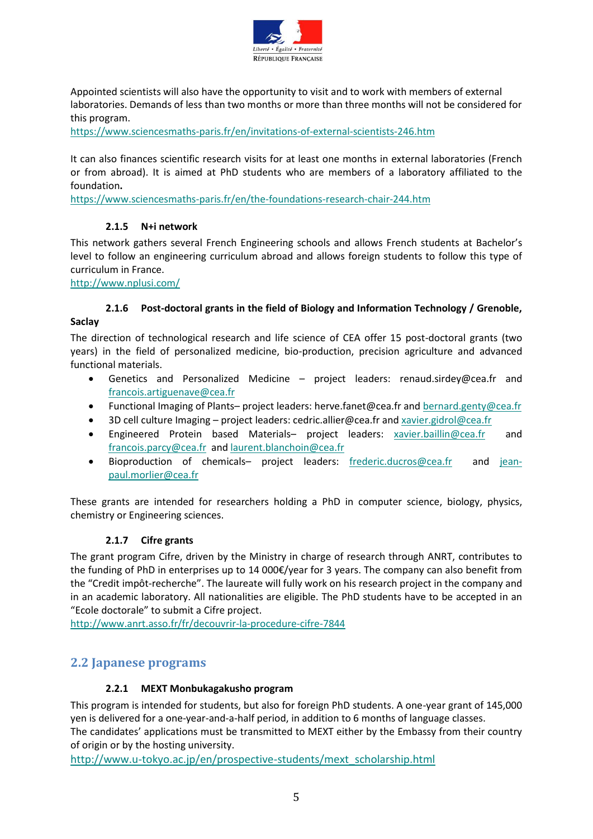

Appointed scientists will also have the opportunity to visit and to work with members of external laboratories. Demands of less than two months or more than three months will not be considered for this program.

<https://www.sciencesmaths-paris.fr/en/invitations-of-external-scientists-246.htm>

It can also finances scientific research visits for at least one months in external laboratories (French or from abroad). It is aimed at PhD students who are members of a laboratory affiliated to the foundation**.**

<https://www.sciencesmaths-paris.fr/en/the-foundations-research-chair-244.htm>

#### **2.1.5 N+i network**

This network gathers several French Engineering schools and allows French students at Bachelor's level to follow an engineering curriculum abroad and allows foreign students to follow this type of curriculum in France.

<http://www.nplusi.com/>

#### **2.1.6 Post-doctoral grants in the field of Biology and Information Technology / Grenoble, Saclay**

The direction of technological research and life science of CEA offer 15 post-doctoral grants (two years) in the field of personalized medicine, bio-production, precision agriculture and advanced functional materials.

- Genetics and Personalized Medicine project leaders: renaud.sirdey@cea.fr and [francois.artiguenave@cea.fr](mailto:francois.artiguenave@cea.fr)
- Functional Imaging of Plants– project leaders: herve.fanet@cea.fr an[d bernard.genty@cea.fr](mailto:bernard.genty@cea.fr)
- 3D cell culture Imaging project leaders: cedric.allier@cea.fr and [xavier.gidrol@cea.fr](mailto:xavier.gidrol@cea.fr)
- Engineered Protein based Materials– project leaders: [xavier.baillin@cea.fr](mailto:xavier.baillin@cea.fr) and [francois.parcy@cea.fr](mailto:francois.parcy@cea.fr) an[d laurent.blanchoin@cea.fr](mailto:laurent.blanchoin@cea.fr)
- Bioproduction of chemicals- project leaders: [frederic.ducros@cea.fr](mailto:frederic.ducros@cea.fr) and [jean](mailto:jean-paul.morlier@cea.fr)[paul.morlier@cea.fr](mailto:jean-paul.morlier@cea.fr)

These grants are intended for researchers holding a PhD in computer science, biology, physics, chemistry or Engineering sciences.

#### **2.1.7 Cifre grants**

The grant program Cifre, driven by the Ministry in charge of research through ANRT, contributes to the funding of PhD in enterprises up to 14 000€/year for 3 years. The company can also benefit from the "Credit impôt-recherche". The laureate will fully work on his research project in the company and in an academic laboratory. All nationalities are eligible. The PhD students have to be accepted in an "Ecole doctorale" to submit a Cifre project.

<http://www.anrt.asso.fr/fr/decouvrir-la-procedure-cifre-7844>

### **2.2 Japanese programs**

#### **2.2.1 MEXT Monbukagakusho program**

This program is intended for students, but also for foreign PhD students. A one-year grant of 145,000 yen is delivered for a one-year-and-a-half period, in addition to 6 months of language classes. The candidates' applications must be transmitted to MEXT either by the Embassy from their country of origin or by the hosting university.

[http://www.u-tokyo.ac.jp/en/prospective-students/mext\\_scholarship.html](http://www.u-tokyo.ac.jp/en/prospective-students/mext_scholarship.html)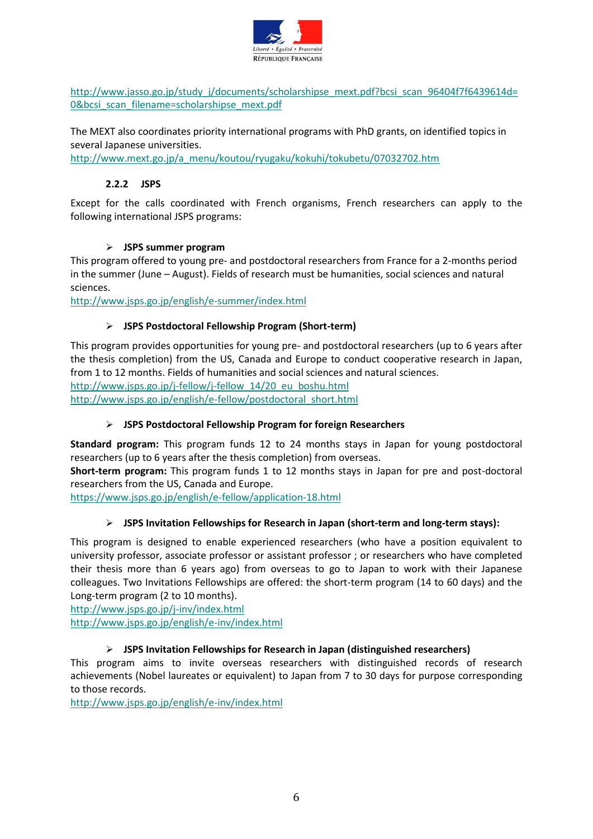

[http://www.jasso.go.jp/study\\_j/documents/scholarshipse\\_mext.pdf?bcsi\\_scan\\_96404f7f6439614d=](http://www.jasso.go.jp/study_j/documents/scholarshipse_mext.pdf?bcsi_scan_96404f7f6439614d=0&bcsi_scan_filename=scholarshipse_mext.pdf) [0&bcsi\\_scan\\_filename=scholarshipse\\_mext.pdf](http://www.jasso.go.jp/study_j/documents/scholarshipse_mext.pdf?bcsi_scan_96404f7f6439614d=0&bcsi_scan_filename=scholarshipse_mext.pdf)

The MEXT also coordinates priority international programs with PhD grants, on identified topics in several Japanese universities.

[http://www.mext.go.jp/a\\_menu/koutou/ryugaku/kokuhi/tokubetu/07032702.htm](http://www.mext.go.jp/a_menu/koutou/ryugaku/kokuhi/tokubetu/07032702.htm)

#### **2.2.2 JSPS**

Except for the calls coordinated with French organisms, French researchers can apply to the following international JSPS programs:

#### **JSPS summer program**

This program offered to young pre- and postdoctoral researchers from France for a 2-months period in the summer (June – August). Fields of research must be humanities, social sciences and natural sciences.

<http://www.jsps.go.jp/english/e-summer/index.html>

#### **JSPS Postdoctoral Fellowship Program (Short-term)**

This program provides opportunities for young pre- and postdoctoral researchers (up to 6 years after the thesis completion) from the US, Canada and Europe to conduct cooperative research in Japan, from 1 to 12 months. Fields of humanities and social sciences and natural sciences.

[http://www.jsps.go.jp/j-fellow/j-fellow\\_14/20\\_eu\\_boshu.html](http://www.jsps.go.jp/j-fellow/j-fellow_14/20_eu_boshu.html) [http://www.jsps.go.jp/english/e-fellow/postdoctoral\\_short.html](http://www.jsps.go.jp/english/e-fellow/postdoctoral_short.html)

#### **JSPS Postdoctoral Fellowship Program for foreign Researchers**

**Standard program:** This program funds 12 to 24 months stays in Japan for young postdoctoral researchers (up to 6 years after the thesis completion) from overseas.

**Short-term program:** This program funds 1 to 12 months stays in Japan for pre and post-doctoral researchers from the US, Canada and Europe.

<https://www.jsps.go.jp/english/e-fellow/application-18.html>

#### **JSPS Invitation Fellowships for Research in Japan (short-term and long-term stays):**

This program is designed to enable experienced researchers (who have a position equivalent to university professor, associate professor or assistant professor ; or researchers who have completed their thesis more than 6 years ago) from overseas to go to Japan to work with their Japanese colleagues. Two Invitations Fellowships are offered: the short-term program (14 to 60 days) and the Long-term program (2 to 10 months).

<http://www.jsps.go.jp/j-inv/index.html>

<http://www.jsps.go.jp/english/e-inv/index.html>

#### **JSPS Invitation Fellowships for Research in Japan (distinguished researchers)**

This program aims to invite overseas researchers with distinguished records of research achievements (Nobel laureates or equivalent) to Japan from 7 to 30 days for purpose corresponding to those records.

<http://www.jsps.go.jp/english/e-inv/index.html>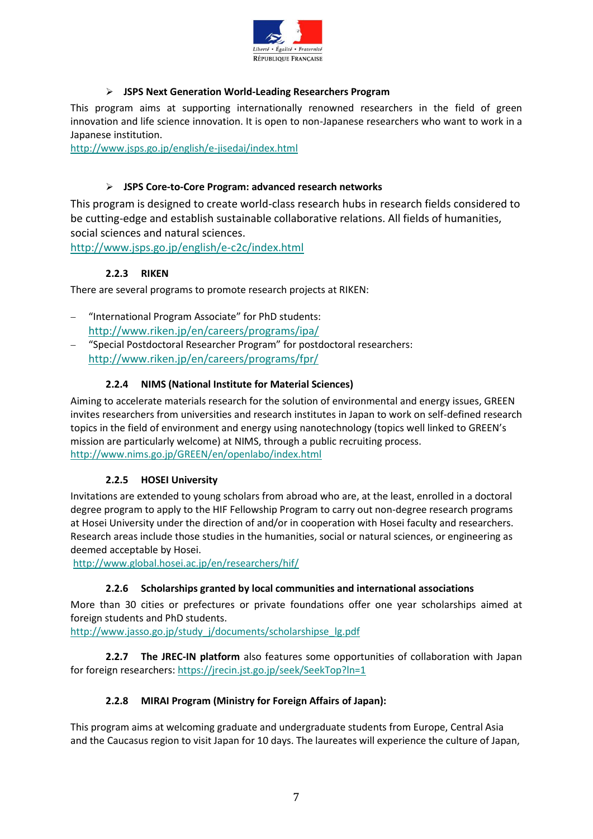

#### **JSPS Next Generation World-Leading Researchers Program**

This program aims at supporting internationally renowned researchers in the field of green innovation and life science innovation. It is open to non-Japanese researchers who want to work in a Japanese institution.

<http://www.jsps.go.jp/english/e-jisedai/index.html>

#### **JSPS Core-to-Core Program: advanced research networks**

This program is designed to create world-class research hubs in research fields considered to be cutting-edge and establish sustainable collaborative relations. All fields of humanities, social sciences and natural sciences.

<http://www.jsps.go.jp/english/e-c2c/index.html>

#### **2.2.3 RIKEN**

There are several programs to promote research projects at RIKEN:

- "International Program Associate" for PhD students: <http://www.riken.jp/en/careers/programs/ipa/>
- "Special Postdoctoral Researcher Program" for postdoctoral researchers: <http://www.riken.jp/en/careers/programs/fpr/>

#### **2.2.4 NIMS (National Institute for Material Sciences)**

Aiming to accelerate materials research for the solution of environmental and energy issues, GREEN invites researchers from universities and research institutes in Japan to work on self-defined research topics in the field of environment and energy using nanotechnology (topics well linked to GREEN's mission are particularly welcome) at NIMS, through a public recruiting process. <http://www.nims.go.jp/GREEN/en/openlabo/index.html>

#### **2.2.5 HOSEI University**

Invitations are extended to young scholars from abroad who are, at the least, enrolled in a doctoral degree program to apply to the HIF Fellowship Program to carry out non-degree research programs at Hosei University under the direction of and/or in cooperation with Hosei faculty and researchers. Research areas include those studies in the humanities, social or natural sciences, or engineering as deemed acceptable by Hosei.

<http://www.global.hosei.ac.jp/en/researchers/hif/>

#### **2.2.6 Scholarships granted by local communities and international associations**

More than 30 cities or prefectures or private foundations offer one year scholarships aimed at foreign students and PhD students.

[http://www.jasso.go.jp/study\\_j/documents/scholarshipse\\_lg.pdf](http://www.jasso.go.jp/study_j/documents/scholarshipse_lg.pdf)

**2.2.7 The JREC-IN platform** also features some opportunities of collaboration with Japan for foreign researchers:<https://jrecin.jst.go.jp/seek/SeekTop?ln=1>

#### **2.2.8 MIRAI Program (Ministry for Foreign Affairs of Japan):**

This program aims at welcoming graduate and undergraduate students from Europe, Central Asia and the Caucasus region to visit Japan for 10 days. The laureates will experience the culture of Japan,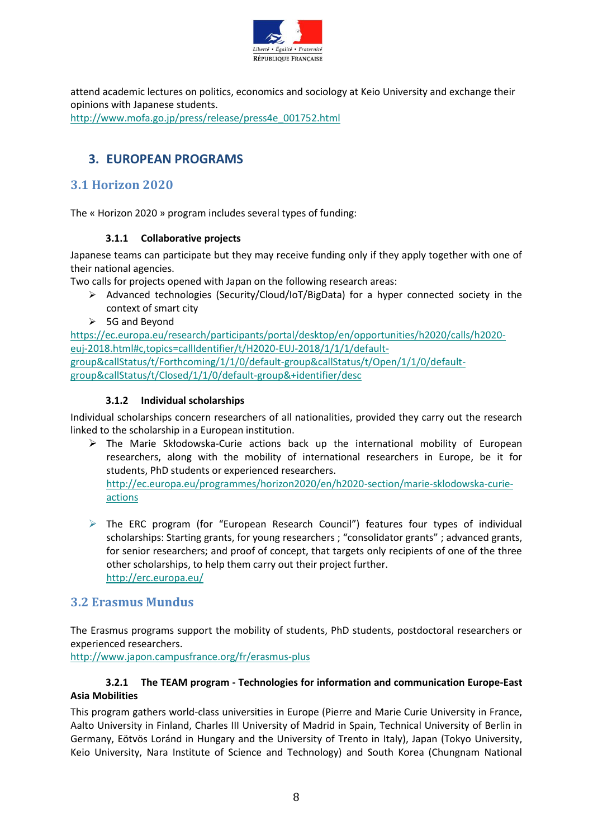

attend academic lectures on politics, economics and sociology at Keio University and exchange their opinions with Japanese students. [http://www.mofa.go.jp/press/release/press4e\\_001752.html](http://www.mofa.go.jp/press/release/press4e_001752.html)

# **3. EUROPEAN PROGRAMS**

## **3.1 Horizon 2020**

The « Horizon 2020 » program includes several types of funding:

### **3.1.1 Collaborative projects**

Japanese teams can participate but they may receive funding only if they apply together with one of their national agencies.

Two calls for projects opened with Japan on the following research areas:

- $\triangleright$  Advanced technologies (Security/Cloud/IoT/BigData) for a hyper connected society in the context of smart city
- $> 5G$  and Beyond

[https://ec.europa.eu/research/participants/portal/desktop/en/opportunities/h2020/calls/h2020](https://ec.europa.eu/research/participants/portal/desktop/en/opportunities/h2020/calls/h2020-euj-2018.html#c,topics=callIdentifier/t/H2020-EUJ-2018/1/1/1/default-group&callStatus/t/Forthcoming/1/1/0/default-group&callStatus/t/Open/1/1/0/default-group&callStatus/t/Closed/1/1/0/default-group&+identifier/desc) [euj-2018.html#c,topics=callIdentifier/t/H2020-EUJ-2018/1/1/1/default](https://ec.europa.eu/research/participants/portal/desktop/en/opportunities/h2020/calls/h2020-euj-2018.html#c,topics=callIdentifier/t/H2020-EUJ-2018/1/1/1/default-group&callStatus/t/Forthcoming/1/1/0/default-group&callStatus/t/Open/1/1/0/default-group&callStatus/t/Closed/1/1/0/default-group&+identifier/desc)[group&callStatus/t/Forthcoming/1/1/0/default-group&callStatus/t/Open/1/1/0/default](https://ec.europa.eu/research/participants/portal/desktop/en/opportunities/h2020/calls/h2020-euj-2018.html#c,topics=callIdentifier/t/H2020-EUJ-2018/1/1/1/default-group&callStatus/t/Forthcoming/1/1/0/default-group&callStatus/t/Open/1/1/0/default-group&callStatus/t/Closed/1/1/0/default-group&+identifier/desc)[group&callStatus/t/Closed/1/1/0/default-group&+identifier/desc](https://ec.europa.eu/research/participants/portal/desktop/en/opportunities/h2020/calls/h2020-euj-2018.html#c,topics=callIdentifier/t/H2020-EUJ-2018/1/1/1/default-group&callStatus/t/Forthcoming/1/1/0/default-group&callStatus/t/Open/1/1/0/default-group&callStatus/t/Closed/1/1/0/default-group&+identifier/desc)

#### **3.1.2 Individual scholarships**

Individual scholarships concern researchers of all nationalities, provided they carry out the research linked to the scholarship in a European institution.

- $\triangleright$  The Marie Skłodowska-Curie actions back up the international mobility of European researchers, along with the mobility of international researchers in Europe, be it for students, PhD students or experienced researchers. [http://ec.europa.eu/programmes/horizon2020/en/h2020-section/marie-sklodowska-curie](http://ec.europa.eu/programmes/horizon2020/en/h2020-section/marie-sklodowska-curie-actions)[actions](http://ec.europa.eu/programmes/horizon2020/en/h2020-section/marie-sklodowska-curie-actions)
- $\triangleright$  The ERC program (for "European Research Council") features four types of individual scholarships: Starting grants, for young researchers ; "consolidator grants" ; advanced grants, for senior researchers; and proof of concept, that targets only recipients of one of the three other scholarships, to help them carry out their project further. <http://erc.europa.eu/>

## **3.2 Erasmus Mundus**

The Erasmus programs support the mobility of students, PhD students, postdoctoral researchers or experienced researchers.

<http://www.japon.campusfrance.org/fr/erasmus-plus>

#### **3.2.1 The TEAM program - Technologies for information and communication Europe-East Asia Mobilities**

This program gathers world-class universities in Europe (Pierre and Marie Curie University in France, Aalto University in Finland, Charles III University of Madrid in Spain, Technical University of Berlin in Germany, Eötvös Loránd in Hungary and the University of Trento in Italy), Japan (Tokyo University, Keio University, Nara Institute of Science and Technology) and South Korea (Chungnam National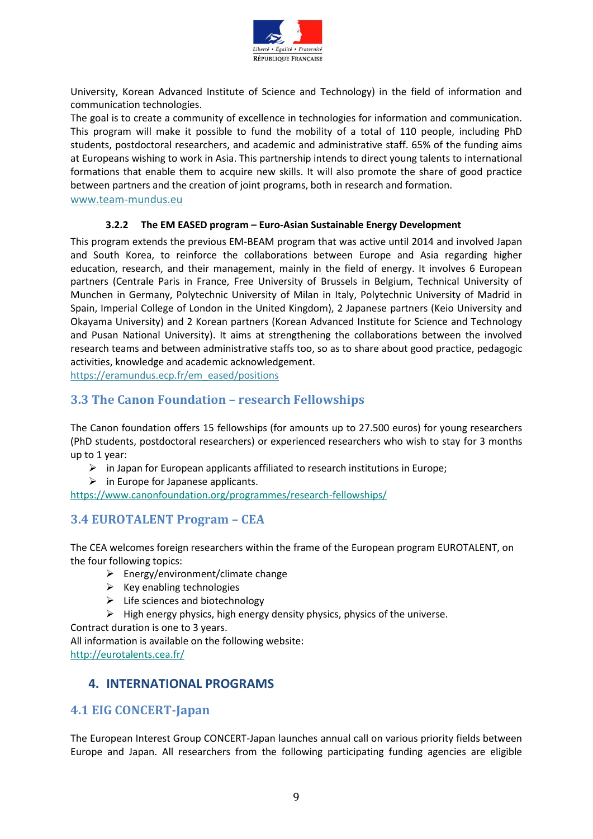

University, Korean Advanced Institute of Science and Technology) in the field of information and communication technologies.

The goal is to create a community of excellence in technologies for information and communication. This program will make it possible to fund the mobility of a total of 110 people, including PhD students, postdoctoral researchers, and academic and administrative staff. 65% of the funding aims at Europeans wishing to work in Asia. This partnership intends to direct young talents to international formations that enable them to acquire new skills. It will also promote the share of good practice between partners and the creation of joint programs, both in research and formation.

www.team-mundus.eu

#### **3.2.2 The EM EASED program – Euro-Asian Sustainable Energy Development**

This program extends the previous EM-BEAM program that was active until 2014 and involved Japan and South Korea, to reinforce the collaborations between Europe and Asia regarding higher education, research, and their management, mainly in the field of energy. It involves 6 European partners (Centrale Paris in France, Free University of Brussels in Belgium, Technical University of Munchen in Germany, Polytechnic University of Milan in Italy, Polytechnic University of Madrid in Spain, Imperial College of London in the United Kingdom), 2 Japanese partners (Keio University and Okayama University) and 2 Korean partners (Korean Advanced Institute for Science and Technology and Pusan National University). It aims at strengthening the collaborations between the involved research teams and between administrative staffs too, so as to share about good practice, pedagogic activities, knowledge and academic acknowledgement.

https://eramundus.ecp.fr/em\_eased/positions

### **3.3 The Canon Foundation – research Fellowships**

The Canon foundation offers 15 fellowships (for amounts up to 27.500 euros) for young researchers (PhD students, postdoctoral researchers) or experienced researchers who wish to stay for 3 months up to 1 year:

- $\triangleright$  in Japan for European applicants affiliated to research institutions in Europe;
- $\triangleright$  in Europe for Japanese applicants.

<https://www.canonfoundation.org/programmes/research-fellowships/>

## **3.4 EUROTALENT Program – CEA**

The CEA welcomes foreign researchers within the frame of the European program EUROTALENT, on the four following topics:

- $\triangleright$  Energy/environment/climate change
- $\triangleright$  Key enabling technologies
- $\triangleright$  Life sciences and biotechnology
- $\triangleright$  High energy physics, high energy density physics, physics of the universe.

Contract duration is one to 3 years.

All information is available on the following website:

<http://eurotalents.cea.fr/>

## **4. INTERNATIONAL PROGRAMS**

## **4.1 EIG CONCERT-Japan**

The European Interest Group CONCERT-Japan launches annual call on various priority fields between Europe and Japan. All researchers from the following participating funding agencies are eligible